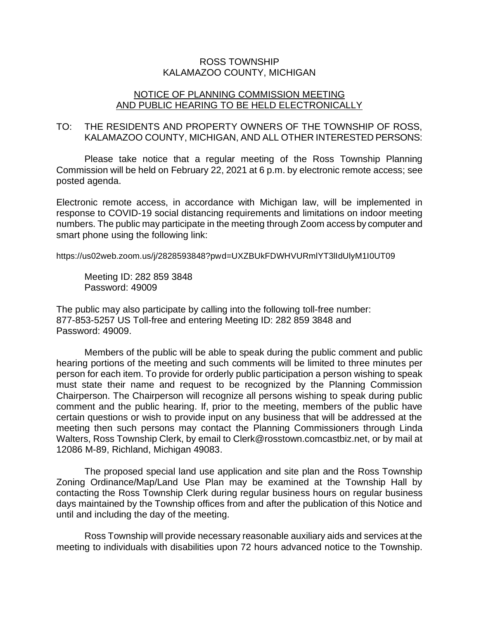## ROSS TOWNSHIP KALAMAZOO COUNTY, MICHIGAN

## NOTICE OF PLANNING COMMISSION MEETING AND PUBLIC HEARING TO BE HELD ELECTRONICALLY

## TO: THE RESIDENTS AND PROPERTY OWNERS OF THE TOWNSHIP OF ROSS, KALAMAZOO COUNTY, MICHIGAN, AND ALL OTHER INTERESTED PERSONS:

Please take notice that a regular meeting of the Ross Township Planning Commission will be held on February 22, 2021 at 6 p.m. by electronic remote access; see posted agenda.

Electronic remote access, in accordance with Michigan law, will be implemented in response to COVID-19 social distancing requirements and limitations on indoor meeting numbers. The public may participate in the meeting through Zoom access by computer and smart phone using the following link:

https://us02web.zoom.us/j/2828593848?pwd=UXZBUkFDWHVURmlYT3lIdUlyM1I0UT09

Meeting ID: 282 859 3848 Password: 49009

The public may also participate by calling into the following toll-free number: 877-853-5257 US Toll-free and entering Meeting ID: 282 859 3848 and Password: 49009.

Members of the public will be able to speak during the public comment and public hearing portions of the meeting and such comments will be limited to three minutes per person for each item. To provide for orderly public participation a person wishing to speak must state their name and request to be recognized by the Planning Commission Chairperson. The Chairperson will recognize all persons wishing to speak during public comment and the public hearing. If, prior to the meeting, members of the public have certain questions or wish to provide input on any business that will be addressed at the meeting then such persons may contact the Planning Commissioners through Linda Walters, Ross Township Clerk, by email to Clerk@rosstown.comcastbiz.net, or by mail at 12086 M-89, Richland, Michigan 49083.

The proposed special land use application and site plan and the Ross Township Zoning Ordinance/Map/Land Use Plan may be examined at the Township Hall by contacting the Ross Township Clerk during regular business hours on regular business days maintained by the Township offices from and after the publication of this Notice and until and including the day of the meeting.

Ross Township will provide necessary reasonable auxiliary aids and services at the meeting to individuals with disabilities upon 72 hours advanced notice to the Township.